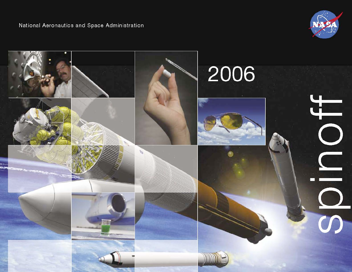

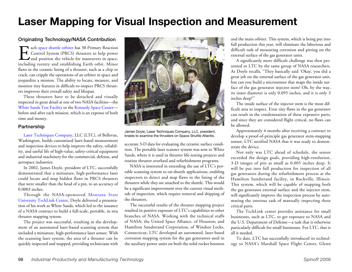## **Laser Mapping for Visual Inspection and Measurement**

## Originating Technology/NASA Contribution

Each space [shuttle](http://www.nasa.gov/mission_pages/shuttle/main/index.html) orbiter has 38 Primary Reaction<br>Control System (PRCS) thrusters to help power<br>and position the vehicle for maneuvers in space,<br>including reentry and establishing Earth orbit. Minor Control System (PRCS) thrusters to help power and position the vehicle for maneuvers in space, including reentry and establishing Earth orbit. Minor flaws in the ceramic lining of a thruster, such as a chip or crack, can cripple the operations of an orbiter in space and jeopardize a mission. The ability to locate, measure, and monitor tiny features in difficult-to-inspect PRCS thrusters improves their overall safety and lifespan.

These thrusters have to be detached and visually inspected in great detail at one of two NASA facilities—the White Sands Test [Facility](http://www.wstf.nasa.gov) or the [Kennedy](http://www.nasa.gov/centers/kennedy/home/index.html) Space Center before and after each mission, which is an expense of both time and money.

## Partnership

Laser [Techniques](http://www.laser-ndt.com) Company, LLC (LTC), of Bellevue, Washington, builds customized laser-based measurement and inspection devices to help improve the safety, reliability, and useful life of high-value, safety-critical equipment and industrial machinery for the commercial, defense, and aerospace industries.

In 2002, James Doyle, president of LTC, successfully demonstrated that a miniature, high-performance laser could locate and map hidden flaws in PRCS thrusters that were smaller than the head of a pin, to an accuracy of 0.0003 inches.

Through the NASA-sponsored [Montana](http://www.techlinkcenter.org/cgi-bin/techlink/index.html) State [University](http://www.techlinkcenter.org/cgi-bin/techlink/index.html) TechLink Center, Doyle delivered a presentation of his work at White Sands, which led to the issuance of a NASA contract to build a full-scale, portable, in situ thruster mapping system.

The project was successful, resulting in the development of an automated laser-based scanning system that included a miniature, high-performance laser sensor. With the scanning laser system, the area of a thruster can be quickly inspected and mapped, providing technicians with



James Doyle, Laser Techniques Company, LLC, president, kneels to examine the thrusters on Space Shuttle Atlantis.

accurate 3-D data for evaluating the ceramic surface condition. The portable laser scanner system was sent to White Sands, where it is used in thruster life-testing projects and routine thruster overhaul and refurbishment programs.

NASA is interested in extending the use of LTC's portable scanning system to on-shuttle applications, enabling inspectors to detect and map flaws in the lining of the thrusters while they are attached to the shuttle. This would be a significant improvement over the current visual methods of inspection, which require removal and shipping of the thrusters.

The successful results of the thruster mapping project resulted in positive exposure of LTC's capabilities to other branches of NASA. Working with the technical staffs of NASA; the United Space Alliance, of Houston; and Hamilton Sundstrand Corporation, of Windsor Locks, Connecticut, LTC developed an automated, laser-based corrosion mapping system for the gas generators used in the auxiliary power units on both the solid rocket boosters

and the main orbiter. This system, which is being put into full production this year, will eliminate the laborious and difficult task of measuring corrosion and pitting on the external surface of the gas generator units.

A significantly more difficult challenge was then presented to LTC by the same group of NASA researchers. As Doyle recalls, "They basically said 'Okay, you did a great job on the external surface of the gas generator unit, but can you build a microsensor that maps the inside surface of the gas generator injector stem? Oh, by the way, its inner diameter is only 0.095 inches, and it is only 3 inches deep!'"

The inside surface of the injector stem is the most difficult area to inspect. Even tiny flaws in the gas generator can result in the condemnation of these expensive parts, and since they are considered flight critical, no flaws can be allowed.

Approximately 4 months after receiving a contract to develop a proof-of-principle gas generator stem-mapping sensor, LTC notified NASA that it was ready to demonstrate the device.

Not only was LTC ahead of schedule, the sensor exceeded the design goals, providing high-resolution, 3-D images of pits as small as 0.005 inches deep. It will be put into full production for inspection of all gas generators during the refurbishment process at the Hamilton Sundstrand facility, in Rockville, Illinois. This system, which will be capable of mapping both the gas generator external surface and the injector stem, will significantly improve the inspection process by automating the onerous task of manually inspecting these critical parts.

The TechLink center provides assistance for small businesses, such as LTC, to get exposure to NASA and the U.S. Department of Defense—a task that is otherwise particularly difficult for small businesses. For LTC, that is all it needed.

To date, LTC has successfully introduced its technology to NASA's Marshall Space Flight Center, Glenn